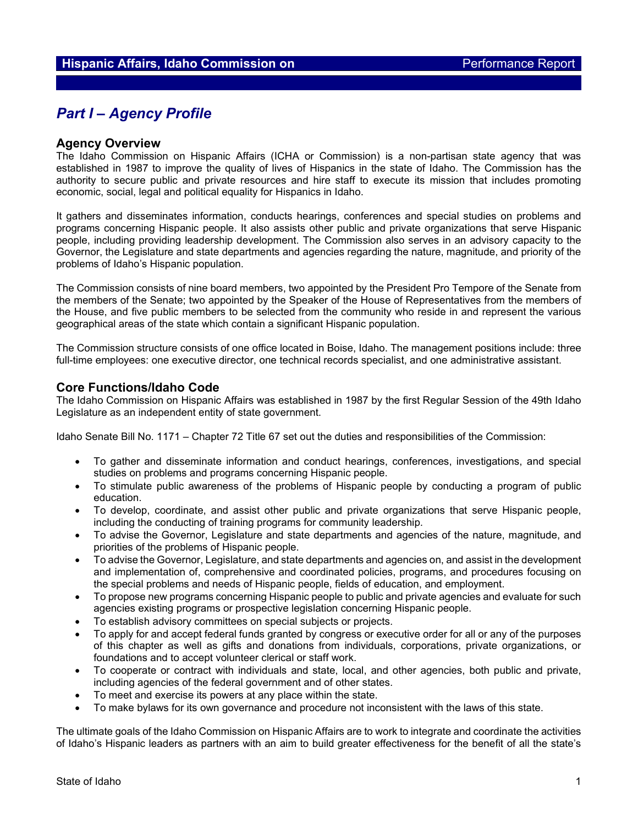# *Part I – Agency Profile*

## **Agency Overview**

The Idaho Commission on Hispanic Affairs (ICHA or Commission) is a non-partisan state agency that was established in 1987 to improve the quality of lives of Hispanics in the state of Idaho. The Commission has the authority to secure public and private resources and hire staff to execute its mission that includes promoting economic, social, legal and political equality for Hispanics in Idaho.

It gathers and disseminates information, conducts hearings, conferences and special studies on problems and programs concerning Hispanic people. It also assists other public and private organizations that serve Hispanic people, including providing leadership development. The Commission also serves in an advisory capacity to the Governor, the Legislature and state departments and agencies regarding the nature, magnitude, and priority of the problems of Idaho's Hispanic population.

The Commission consists of nine board members, two appointed by the President Pro Tempore of the Senate from the members of the Senate; two appointed by the Speaker of the House of Representatives from the members of the House, and five public members to be selected from the community who reside in and represent the various geographical areas of the state which contain a significant Hispanic population.

The Commission structure consists of one office located in Boise, Idaho. The management positions include: three full-time employees: one executive director, one technical records specialist, and one administrative assistant.

### **Core Functions/Idaho Code**

The Idaho Commission on Hispanic Affairs was established in 1987 by the first Regular Session of the 49th Idaho Legislature as an independent entity of state government.

Idaho Senate Bill No. 1171 – Chapter 72 Title 67 set out the duties and responsibilities of the Commission:

- To gather and disseminate information and conduct hearings, conferences, investigations, and special studies on problems and programs concerning Hispanic people.
- To stimulate public awareness of the problems of Hispanic people by conducting a program of public education.
- To develop, coordinate, and assist other public and private organizations that serve Hispanic people, including the conducting of training programs for community leadership.
- To advise the Governor, Legislature and state departments and agencies of the nature, magnitude, and priorities of the problems of Hispanic people.
- To advise the Governor, Legislature, and state departments and agencies on, and assist in the development and implementation of, comprehensive and coordinated policies, programs, and procedures focusing on the special problems and needs of Hispanic people, fields of education, and employment.
- To propose new programs concerning Hispanic people to public and private agencies and evaluate for such agencies existing programs or prospective legislation concerning Hispanic people.
- To establish advisory committees on special subjects or projects.
- To apply for and accept federal funds granted by congress or executive order for all or any of the purposes of this chapter as well as gifts and donations from individuals, corporations, private organizations, or foundations and to accept volunteer clerical or staff work.
- To cooperate or contract with individuals and state, local, and other agencies, both public and private, including agencies of the federal government and of other states.
- To meet and exercise its powers at any place within the state.
- To make bylaws for its own governance and procedure not inconsistent with the laws of this state.

The ultimate goals of the Idaho Commission on Hispanic Affairs are to work to integrate and coordinate the activities of Idaho's Hispanic leaders as partners with an aim to build greater effectiveness for the benefit of all the state's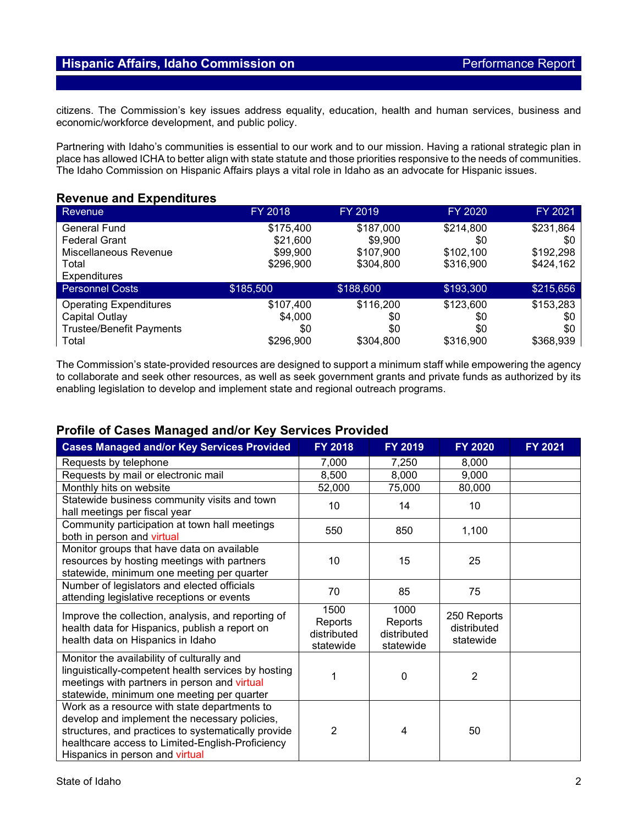citizens. The Commission's key issues address equality, education, health and human services, business and economic/workforce development, and public policy.

Partnering with Idaho's communities is essential to our work and to our mission. Having a rational strategic plan in place has allowed ICHA to better align with state statute and those priorities responsive to the needs of communities. The Idaho Commission on Hispanic Affairs plays a vital role in Idaho as an advocate for Hispanic issues.

## **Revenue and Expenditures**

| <b>Revenue</b>                  | FY 2018   | FY 2019   | FY 2020   | FY 2021   |
|---------------------------------|-----------|-----------|-----------|-----------|
| <b>General Fund</b>             | \$175,400 | \$187,000 | \$214,800 | \$231,864 |
| <b>Federal Grant</b>            | \$21,600  | \$9,900   | \$0       | \$0       |
| Miscellaneous Revenue           | \$99,900  | \$107,900 | \$102,100 | \$192,298 |
| Total                           | \$296,900 | \$304,800 | \$316,900 | \$424,162 |
| <b>Expenditures</b>             |           |           |           |           |
| <b>Personnel Costs</b>          | \$185,500 | \$188,600 | \$193,300 | \$215,656 |
| <b>Operating Expenditures</b>   | \$107,400 | \$116,200 | \$123,600 | \$153,283 |
| Capital Outlay                  | \$4,000   | \$0       | \$0       | \$0       |
| <b>Trustee/Benefit Payments</b> | \$0       | \$0       | \$0       | \$0       |
| Total                           | \$296,900 | \$304,800 | \$316,900 | \$368,939 |

The Commission's state-provided resources are designed to support a minimum staff while empowering the agency to collaborate and seek other resources, as well as seek government grants and private funds as authorized by its enabling legislation to develop and implement state and regional outreach programs.

## **Profile of Cases Managed and/or Key Services Provided**

| <b>Cases Managed and/or Key Services Provided</b>                                                                                                                                                                                           | FY 2018                                     | FY 2019                                     | FY 2020                                 | FY 2021 |
|---------------------------------------------------------------------------------------------------------------------------------------------------------------------------------------------------------------------------------------------|---------------------------------------------|---------------------------------------------|-----------------------------------------|---------|
| Requests by telephone                                                                                                                                                                                                                       | 7,000                                       | 7,250                                       | 8,000                                   |         |
| Requests by mail or electronic mail                                                                                                                                                                                                         | 8,500                                       | 8,000                                       | 9,000                                   |         |
| Monthly hits on website                                                                                                                                                                                                                     | 52,000                                      | 75,000                                      | 80,000                                  |         |
| Statewide business community visits and town<br>hall meetings per fiscal year                                                                                                                                                               | 10                                          | 14                                          | 10                                      |         |
| Community participation at town hall meetings<br>both in person and virtual                                                                                                                                                                 | 550                                         | 850                                         | 1,100                                   |         |
| Monitor groups that have data on available<br>resources by hosting meetings with partners<br>statewide, minimum one meeting per quarter                                                                                                     | 10                                          | 15                                          | 25                                      |         |
| Number of legislators and elected officials<br>attending legislative receptions or events                                                                                                                                                   | 70                                          | 85                                          | 75                                      |         |
| Improve the collection, analysis, and reporting of<br>health data for Hispanics, publish a report on<br>health data on Hispanics in Idaho                                                                                                   | 1500<br>Reports<br>distributed<br>statewide | 1000<br>Reports<br>distributed<br>statewide | 250 Reports<br>distributed<br>statewide |         |
| Monitor the availability of culturally and<br>linguistically-competent health services by hosting<br>meetings with partners in person and virtual<br>statewide, minimum one meeting per quarter                                             | 1                                           | 0                                           | 2                                       |         |
| Work as a resource with state departments to<br>develop and implement the necessary policies,<br>structures, and practices to systematically provide<br>healthcare access to Limited-English-Proficiency<br>Hispanics in person and virtual | $\overline{2}$                              | 4                                           | 50                                      |         |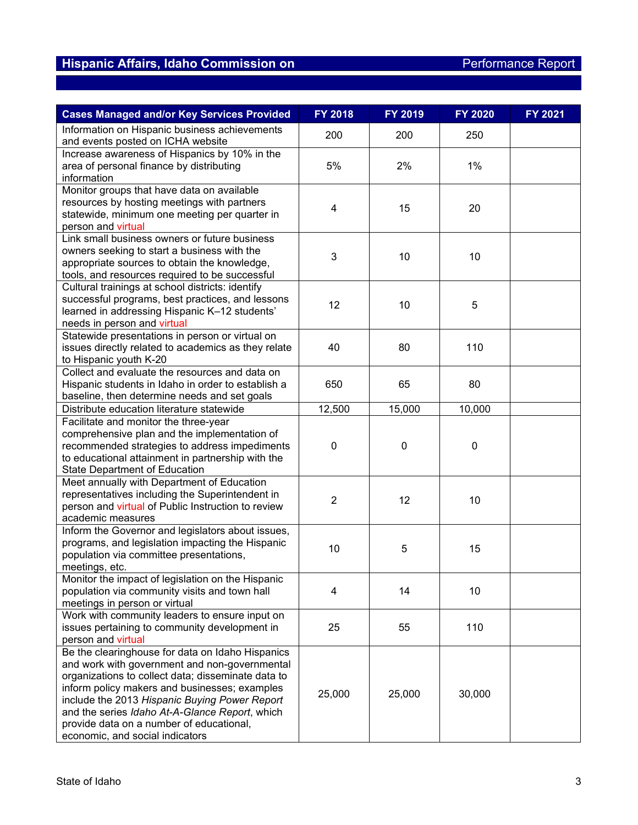| <b>Cases Managed and/or Key Services Provided</b>                                                                                                                                                                                                                                                                                                                                          | FY 2018        | FY 2019   | <b>FY 2020</b> | FY 2021 |
|--------------------------------------------------------------------------------------------------------------------------------------------------------------------------------------------------------------------------------------------------------------------------------------------------------------------------------------------------------------------------------------------|----------------|-----------|----------------|---------|
| Information on Hispanic business achievements<br>and events posted on ICHA website                                                                                                                                                                                                                                                                                                         | 200            | 200       | 250            |         |
| Increase awareness of Hispanics by 10% in the<br>area of personal finance by distributing<br>information                                                                                                                                                                                                                                                                                   | 5%             | 2%        | 1%             |         |
| Monitor groups that have data on available<br>resources by hosting meetings with partners<br>statewide, minimum one meeting per quarter in<br>person and virtual                                                                                                                                                                                                                           | 4              | 15        | 20             |         |
| Link small business owners or future business<br>owners seeking to start a business with the<br>appropriate sources to obtain the knowledge,<br>tools, and resources required to be successful                                                                                                                                                                                             | 3              | 10        | 10             |         |
| Cultural trainings at school districts: identify<br>successful programs, best practices, and lessons<br>learned in addressing Hispanic K-12 students'<br>needs in person and virtual                                                                                                                                                                                                       | 12             | 10        | 5              |         |
| Statewide presentations in person or virtual on<br>issues directly related to academics as they relate<br>to Hispanic youth K-20                                                                                                                                                                                                                                                           | 40             | 80        | 110            |         |
| Collect and evaluate the resources and data on<br>Hispanic students in Idaho in order to establish a<br>baseline, then determine needs and set goals                                                                                                                                                                                                                                       | 650            | 65        | 80             |         |
| Distribute education literature statewide                                                                                                                                                                                                                                                                                                                                                  | 12,500         | 15,000    | 10,000         |         |
| Facilitate and monitor the three-year<br>comprehensive plan and the implementation of<br>recommended strategies to address impediments<br>to educational attainment in partnership with the<br><b>State Department of Education</b>                                                                                                                                                        | $\mathbf 0$    | $\pmb{0}$ | $\pmb{0}$      |         |
| Meet annually with Department of Education<br>representatives including the Superintendent in<br>person and virtual of Public Instruction to review<br>academic measures                                                                                                                                                                                                                   | $\overline{2}$ | 12        | 10             |         |
| Inform the Governor and legislators about issues,<br>programs, and legislation impacting the Hispanic<br>population via committee presentations,<br>meetings, etc.                                                                                                                                                                                                                         | 10             | 5         | 15             |         |
| Monitor the impact of legislation on the Hispanic<br>population via community visits and town hall<br>meetings in person or virtual                                                                                                                                                                                                                                                        | 4              | 14        | 10             |         |
| Work with community leaders to ensure input on<br>issues pertaining to community development in<br>person and virtual                                                                                                                                                                                                                                                                      | 25             | 55        | 110            |         |
| Be the clearinghouse for data on Idaho Hispanics<br>and work with government and non-governmental<br>organizations to collect data; disseminate data to<br>inform policy makers and businesses; examples<br>include the 2013 Hispanic Buying Power Report<br>and the series Idaho At-A-Glance Report, which<br>provide data on a number of educational,<br>economic, and social indicators | 25,000         | 25,000    | 30,000         |         |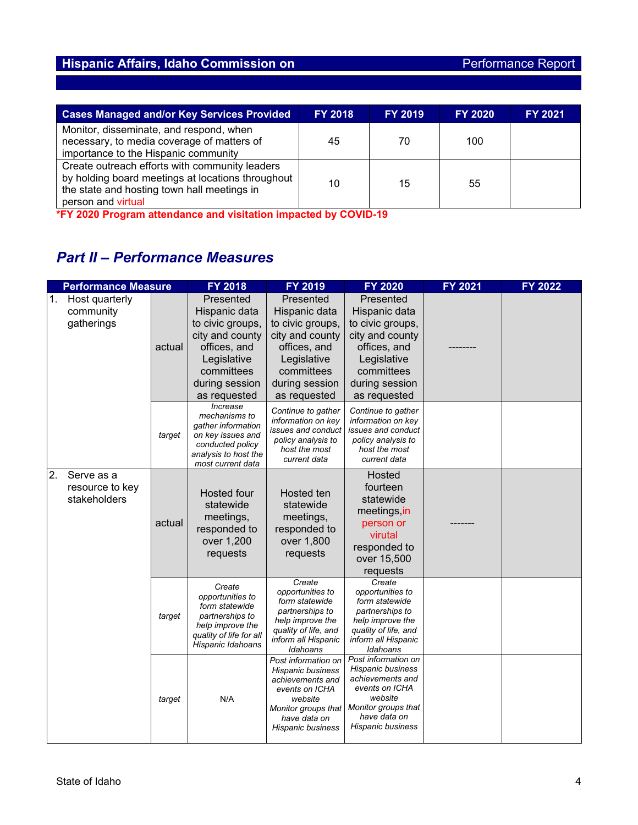| <b>Cases Managed and/or Key Services Provided</b>                                                                                                                        | <b>FY 2018</b> | <b>FY 2019</b> | <b>FY 2020</b> | <b>FY 2021</b> |
|--------------------------------------------------------------------------------------------------------------------------------------------------------------------------|----------------|----------------|----------------|----------------|
| Monitor, disseminate, and respond, when<br>necessary, to media coverage of matters of<br>importance to the Hispanic community                                            | 45             | 70             | 100            |                |
| Create outreach efforts with community leaders<br>by holding board meetings at locations throughout<br>the state and hosting town hall meetings in<br>person and virtual | 10             | 15             | 55             |                |

**\*FY 2020 Program attendance and visitation impacted by COVID-19**

# *Part II – Performance Measures*

|    | <b>Performance Measure</b>                    |        | <b>FY 2018</b>                                                                                                                                   | FY 2019                                                                                                                                               | <b>FY 2020</b>                                                                                                                                        | <b>FY 2021</b> | <b>FY 2022</b> |
|----|-----------------------------------------------|--------|--------------------------------------------------------------------------------------------------------------------------------------------------|-------------------------------------------------------------------------------------------------------------------------------------------------------|-------------------------------------------------------------------------------------------------------------------------------------------------------|----------------|----------------|
| 1. | Host quarterly<br>community<br>gatherings     | actual | Presented<br>Hispanic data<br>to civic groups,<br>city and county<br>offices, and<br>Legislative<br>committees<br>during session<br>as requested | Presented<br>Hispanic data<br>to civic groups,<br>city and county<br>offices, and<br>Legislative<br>committees<br>during session<br>as requested      | Presented<br>Hispanic data<br>to civic groups,<br>city and county<br>offices, and<br>Legislative<br>committees<br>during session<br>as requested      |                |                |
|    |                                               | target | Increase<br>mechanisms to<br>gather information<br>on key issues and<br>conducted policy<br>analysis to host the<br>most current data            | Continue to gather<br>information on key<br>issues and conduct<br>policy analysis to<br>host the most<br>current data                                 | Continue to gather<br>information on key<br>issues and conduct<br>policy analysis to<br>host the most<br>current data                                 |                |                |
| 2. | Serve as a<br>resource to key<br>stakeholders | actual | Hosted four<br>statewide<br>meetings,<br>responded to<br>over 1,200<br>requests                                                                  | Hosted ten<br>statewide<br>meetings,<br>responded to<br>over 1,800<br>requests                                                                        | Hosted<br>fourteen<br>statewide<br>meetings in<br>person or<br>virutal<br>responded to<br>over 15,500<br>requests                                     |                |                |
|    |                                               | target | Create<br>opportunities to<br>form statewide<br>partnerships to<br>help improve the<br>quality of life for all<br>Hispanic Idahoans              | Create<br>opportunities to<br>form statewide<br>partnerships to<br>help improve the<br>quality of life, and<br>inform all Hispanic<br>Idahoans        | Create<br>opportunities to<br>form statewide<br>partnerships to<br>help improve the<br>quality of life, and<br>inform all Hispanic<br>Idahoans        |                |                |
|    |                                               | target | N/A                                                                                                                                              | Post information on<br>Hispanic business<br>achievements and<br>events on ICHA<br>website<br>Monitor groups that<br>have data on<br>Hispanic business | Post information on<br>Hispanic business<br>achievements and<br>events on ICHA<br>website<br>Monitor groups that<br>have data on<br>Hispanic business |                |                |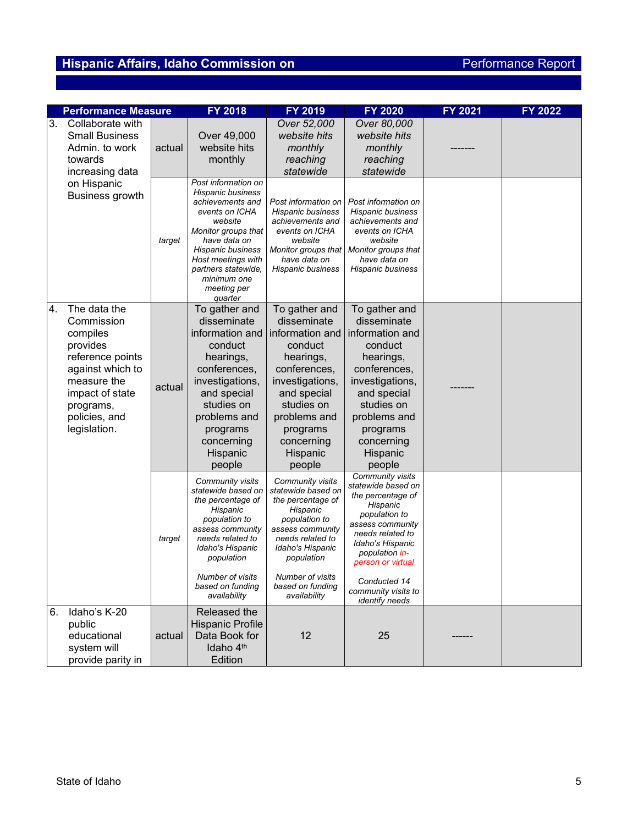|    | <b>Performance Measure</b> |        | FY 2018                                 | FY 2019                                  | <b>FY 2020</b>                           | FY 2021 | FY 2022 |
|----|----------------------------|--------|-----------------------------------------|------------------------------------------|------------------------------------------|---------|---------|
| 3. | Collaborate with           |        |                                         | Over 52,000                              | Over 80,000                              |         |         |
|    | <b>Small Business</b>      |        | Over 49,000                             | website hits                             | website hits                             |         |         |
|    | Admin. to work             | actual | website hits                            | monthly                                  | monthly                                  |         |         |
|    | towards                    |        | monthly                                 | reaching                                 | reaching                                 |         |         |
|    | increasing data            |        |                                         | statewide                                | statewide                                |         |         |
|    | on Hispanic                |        | Post information on                     |                                          |                                          |         |         |
|    | <b>Business growth</b>     |        | Hispanic business                       |                                          |                                          |         |         |
|    |                            |        | achievements and<br>events on ICHA      | Post information on<br>Hispanic business | Post information on<br>Hispanic business |         |         |
|    |                            |        | website                                 | achievements and                         | achievements and                         |         |         |
|    |                            |        | Monitor groups that                     | events on ICHA                           | events on ICHA                           |         |         |
|    |                            | target | have data on<br>Hispanic business       | website<br>Monitor groups that           | website<br>Monitor groups that           |         |         |
|    |                            |        | Host meetings with                      | have data on                             | have data on                             |         |         |
|    |                            |        | partners statewide.                     | Hispanic business                        | Hispanic business                        |         |         |
|    |                            |        | minimum one                             |                                          |                                          |         |         |
|    |                            |        | meeting per<br>quarter                  |                                          |                                          |         |         |
| 4. | The data the               |        | To gather and                           | To gather and                            | To gather and                            |         |         |
|    | Commission                 |        | disseminate                             | disseminate                              | disseminate                              |         |         |
|    | compiles                   |        | information and                         | information and                          | information and                          |         |         |
|    | provides                   |        | conduct                                 | conduct                                  | conduct                                  |         |         |
|    | reference points           |        | hearings,                               | hearings,                                | hearings,                                |         |         |
|    | against which to           |        | conferences,                            | conferences,                             | conferences,                             |         |         |
|    | measure the                | actual | investigations,                         | investigations,                          | investigations,                          |         |         |
|    | impact of state            |        | and special                             | and special                              | and special                              |         |         |
|    | programs,                  |        | studies on                              | studies on                               | studies on                               |         |         |
|    | policies, and              |        | problems and                            | problems and                             | problems and                             |         |         |
|    | legislation.               |        | programs                                | programs                                 | programs                                 |         |         |
|    |                            |        | concerning                              | concerning                               | concerning                               |         |         |
|    |                            |        | Hispanic                                | Hispanic                                 | Hispanic                                 |         |         |
|    |                            |        | people                                  | people                                   | people<br>Community visits               |         |         |
|    |                            |        | Community visits                        | Community visits                         | statewide based on                       |         |         |
|    |                            |        | statewide based on<br>the percentage of | statewide based on<br>the percentage of  | the percentage of                        |         |         |
|    |                            |        | Hispanic                                | Hispanic                                 | Hispanic                                 |         |         |
|    |                            |        | population to                           | population to                            | population to<br>assess community        |         |         |
|    |                            |        | assess community                        | assess community                         | needs related to                         |         |         |
|    |                            | target | needs related to<br>Idaho's Hispanic    | needs related to<br>Idaho's Hispanic     | Idaho's Hispanic                         |         |         |
|    |                            |        | population                              | population                               | population in-                           |         |         |
|    |                            |        |                                         |                                          | person or virtual                        |         |         |
|    |                            |        | Number of visits<br>based on funding    | Number of visits<br>based on funding     | Conducted 14                             |         |         |
|    |                            |        | availability                            | availability                             | community visits to<br>identify needs    |         |         |
| 6. | Idaho's K-20               |        | Released the                            |                                          |                                          |         |         |
|    | public                     |        | Hispanic Profile                        |                                          |                                          |         |         |
|    | educational                | actual | Data Book for                           | 12                                       | 25                                       |         |         |
|    | system will                |        | Idaho 4 <sup>th</sup>                   |                                          |                                          |         |         |
|    | provide parity in          |        | Edition                                 |                                          |                                          |         |         |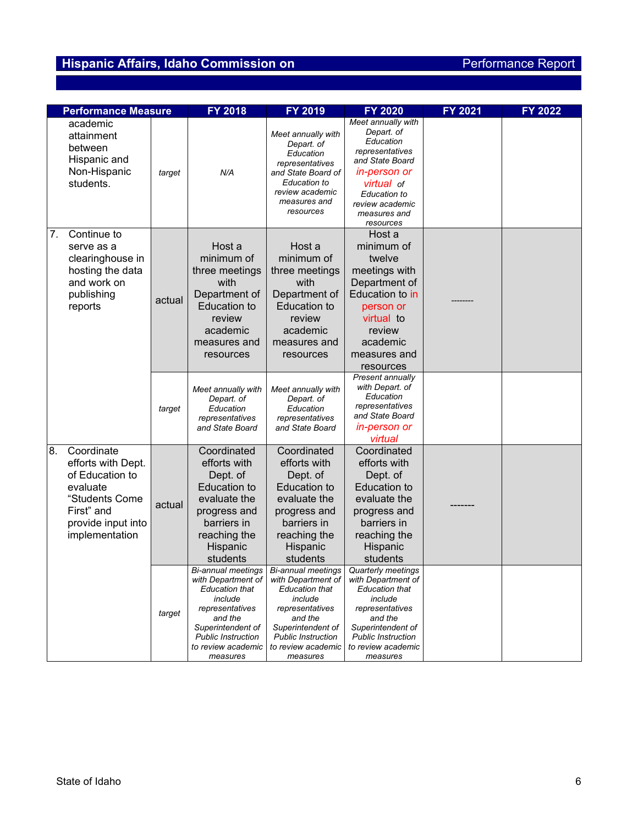| <b>Performance Measure</b> |                                                                                                                                         |        | FY 2018                                                                                                                                                                  | FY 2019                                                                                                                                                                                                               | FY 2020                                                                                                                                                                                        | FY 2021 | FY 2022 |
|----------------------------|-----------------------------------------------------------------------------------------------------------------------------------------|--------|--------------------------------------------------------------------------------------------------------------------------------------------------------------------------|-----------------------------------------------------------------------------------------------------------------------------------------------------------------------------------------------------------------------|------------------------------------------------------------------------------------------------------------------------------------------------------------------------------------------------|---------|---------|
|                            | academic<br>attainment<br>between<br>Hispanic and<br>Non-Hispanic<br>students.                                                          | target | N/A                                                                                                                                                                      | Meet annually with<br>Depart. of<br>Education<br>representatives<br>and State Board of<br>Education to<br>review academic<br>measures and<br>resources                                                                | Meet annually with<br>Depart. of<br>Education<br>representatives<br>and State Board<br>in-person or<br><b>virtual</b> of<br>Education to<br>review academic<br>measures and<br>resources       |         |         |
| 7.                         | Continue to<br>serve as a<br>clearinghouse in<br>hosting the data<br>and work on<br>publishing<br>reports                               | actual | Host a<br>minimum of<br>three meetings<br>with<br>Department of<br><b>Education to</b><br>review<br>academic<br>measures and<br>resources                                | Host a<br>minimum of<br>three meetings<br>with<br>Department of<br><b>Education to</b><br>review<br>academic<br>measures and<br>resources                                                                             | Host a<br>minimum of<br>twelve<br>meetings with<br>Department of<br>Education to in<br>person or<br>virtual to<br>review<br>academic<br>measures and<br>resources                              |         |         |
|                            |                                                                                                                                         | target | Meet annually with<br>Depart. of<br>Education<br>representatives<br>and State Board                                                                                      | Meet annually with<br>Depart. of<br>Education<br>representatives<br>and State Board                                                                                                                                   | Present annually<br>with Depart. of<br>Education<br>representatives<br>and State Board<br>in-person or<br>virtual                                                                              |         |         |
| 8.                         | Coordinate<br>efforts with Dept.<br>of Education to<br>evaluate<br>"Students Come<br>First" and<br>provide input into<br>implementation | actual | Coordinated<br>efforts with<br>Dept. of<br><b>Education to</b><br>evaluate the<br>progress and<br>barriers in<br>reaching the<br>Hispanic<br>students                    | Coordinated<br>efforts with<br>Dept. of<br><b>Education to</b><br>evaluate the<br>progress and<br>barriers in<br>reaching the<br>Hispanic<br>students                                                                 | Coordinated<br>efforts with<br>Dept. of<br><b>Education to</b><br>evaluate the<br>progress and<br>barriers in<br>reaching the<br>Hispanic<br>students                                          |         |         |
|                            |                                                                                                                                         | target | with Department of<br><b>Education that</b><br>include<br>representatives<br>and the<br>Superintendent of<br><b>Public Instruction</b><br>to review academic<br>measures | Bi-annual meetings   Bi-annual meetings  <br>with Department of<br><b>Education that</b><br>include<br>representatives<br>and the<br>Superintendent of<br><b>Public Instruction</b><br>to review academic<br>measures | Quarterly meetings<br>with Department of<br><b>Education that</b><br>include<br>representatives<br>and the<br>Superintendent of<br><b>Public Instruction</b><br>to review academic<br>measures |         |         |